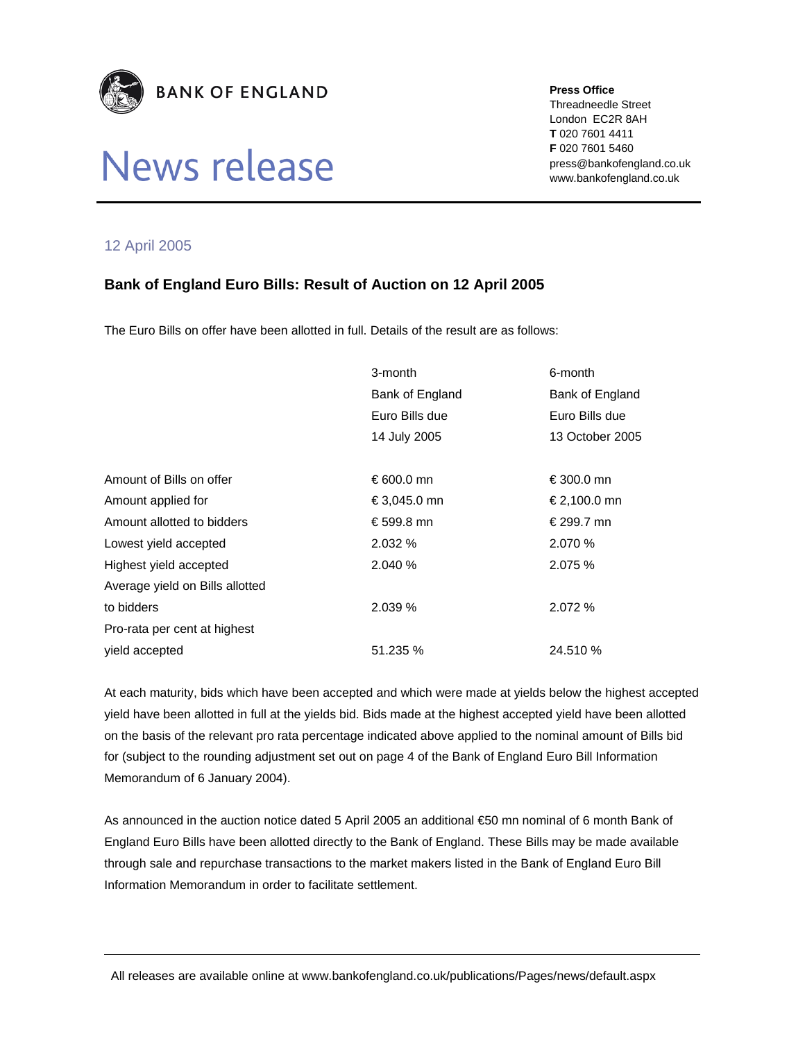

# News release

#### **Press Office**

Threadneedle Street London EC2R 8AH **T** 020 7601 4411 **F** 020 7601 5460 press@bankofengland.co.uk www.bankofengland.co.uk

## 12 April 2005

## **Bank of England Euro Bills: Result of Auction on 12 April 2005**

The Euro Bills on offer have been allotted in full. Details of the result are as follows:

|                                 | 3-month         | 6-month         |
|---------------------------------|-----------------|-----------------|
|                                 | Bank of England | Bank of England |
|                                 | Euro Bills due  | Euro Bills due  |
|                                 | 14 July 2005    | 13 October 2005 |
|                                 |                 |                 |
| Amount of Bills on offer        | €600.0 mn       | €300.0 mn       |
| Amount applied for              | €3,045.0 mn     | €2,100.0 mn     |
| Amount allotted to bidders      | €599.8 mn       | € 299.7 mn      |
| Lowest yield accepted           | 2.032%          | 2.070 %         |
| Highest yield accepted          | 2.040 %         | 2.075 %         |
| Average yield on Bills allotted |                 |                 |
| to bidders                      | 2.039%          | 2.072 %         |
| Pro-rata per cent at highest    |                 |                 |
| yield accepted                  | 51.235 %        | 24.510 %        |

At each maturity, bids which have been accepted and which were made at yields below the highest accepted yield have been allotted in full at the yields bid. Bids made at the highest accepted yield have been allotted on the basis of the relevant pro rata percentage indicated above applied to the nominal amount of Bills bid for (subject to the rounding adjustment set out on page 4 of the Bank of England Euro Bill Information Memorandum of 6 January 2004).

As announced in the auction notice dated 5 April 2005 an additional €50 mn nominal of 6 month Bank of England Euro Bills have been allotted directly to the Bank of England. These Bills may be made available through sale and repurchase transactions to the market makers listed in the Bank of England Euro Bill Information Memorandum in order to facilitate settlement.

All releases are available online at www.bankofengland.co.uk/publications/Pages/news/default.aspx